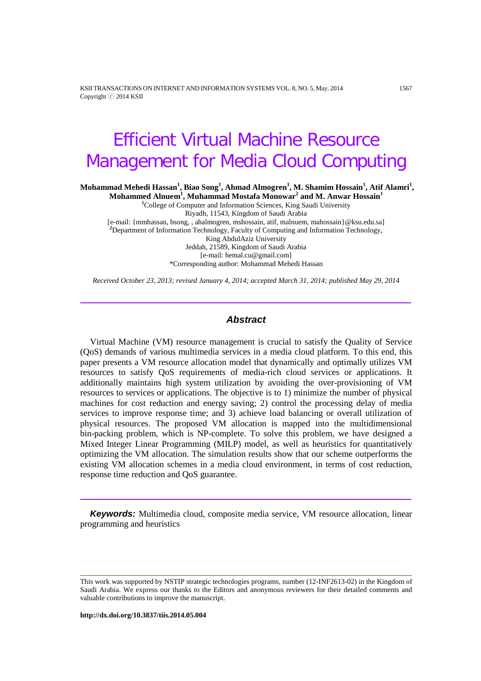KSII TRANSACTIONS ON INTERNET AND INFORMATION SYSTEMS VOL. 8, NO. 5, May. 2014 1567 Copyright ⓒ 2014 KSII

# Efficient Virtual Machine Resource Management for Media Cloud Computing

 $\mathbf{M}$ ohammad Mehedi Hassan $^{1}\mathbf{,}$  Biao Song $^{1}\mathbf{,}$  Ahmad Almogren $^{1}\mathbf{,}$   $\mathbf{M}$ . Shamim Hossain $^{1}\mathbf{,}$  Atif Alamri $^{1}\mathbf{,}$ 

 $\bf{Mohammed \ Alnuem<sup>1</sup>, Muhammad \ Mostafa \ Monowar<sup>2</sup> and M. Anwar \ Hossain<sup>1</sup>$ <sup>1</sup>College of Computer and Information Sciences, King Saudi University Riyadh, 11543, Kingdom of Saudi Arabia [e-mail: {mmhassan, bsong, , ahalmogren, mshossain, atif, malnuem, mahossain}@ksu.edu.sa] **<sup>2</sup>** <sup>2</sup>Department of Information Technology, Faculty of Computing and Information Technology, King AbdulAziz University Jeddah, 21589, Kingdom of Saudi Arabia [e-mail: hemal.cu@gmail.com] \*Corresponding author: Mohammad Mehedi Hassan

*Received October 23, 2013; revised January 4, 2014; accepted March 31, 2014; published May 29, 2014*

#### *Abstract*

Virtual Machine (VM) resource management is crucial to satisfy the Quality of Service (QoS) demands of various multimedia services in a media cloud platform. To this end, this paper presents a VM resource allocation model that dynamically and optimally utilizes VM resources to satisfy QoS requirements of media-rich cloud services or applications. It additionally maintains high system utilization by avoiding the over-provisioning of VM resources to services or applications. The objective is to 1) minimize the number of physical machines for cost reduction and energy saving; 2) control the processing delay of media services to improve response time; and 3) achieve load balancing or overall utilization of physical resources. The proposed VM allocation is mapped into the multidimensional bin-packing problem, which is NP-complete. To solve this problem, we have designed a Mixed Integer Linear Programming (MILP) model, as well as heuristics for quantitatively optimizing the VM allocation. The simulation results show that our scheme outperforms the existing VM allocation schemes in a media cloud environment, in terms of cost reduction, response time reduction and QoS guarantee.

*Keywords:* Multimedia cloud, composite media service, VM resource allocation, linear programming and heuristics

This work was supported by NSTIP strategic technologies programs, number (12-INF2613-02) in the Kingdom of Saudi Arabia. We express our thanks to the Editors and anonymous reviewers for their detailed comments and valuable contributions to improve the manuscript.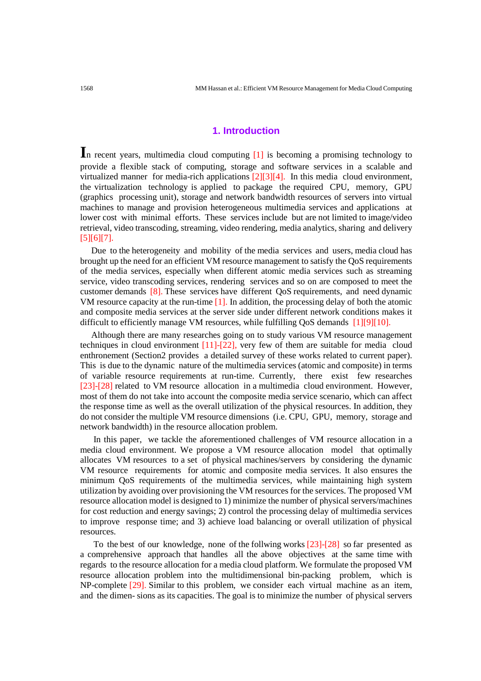## **1. Introduction**

In recent years, multimedia cloud computing [1] is becoming a promising technology to provide a flexible stack of computing, storage and software services in a scalable and virtualized manner for media-rich applications [2][3][4]. In this media cloud environment, the virtualization technology is applied to package the required CPU, memory, GPU (graphics processing unit), storage and network bandwidth resources of servers into virtual machines to manage and provision heterogeneous multimedia services and applications at lower cost with minimal efforts. These services include but are not limited to image/video retrieval, video transcoding, streaming, video rendering, media analytics, sharing and delivery [5][6][7].

 Due to the heterogeneity and mobility of the media services and users, media cloud has brought up the need for an efficient VM resource management to satisfy the QoS requirements of the media services, especially when different atomic media services such as streaming service, video transcoding services, rendering services and so on are composed to meet the customer demands [8]. These services have different QoS requirements, and need dynamic VM resource capacity at the run-time [1]. In addition, the processing delay of both the atomic and composite media services at the server side under different network conditions makes it difficult to efficiently manage VM resources, while fulfilling QoS demands [1][9][10].

 Although there are many researches going on to study various VM resource management techniques in cloud environment [11]-[22], very few of them are suitable for media cloud enthronement (Section2 provides a detailed survey of these works related to current paper). This is due to the dynamic nature of the multimedia services (atomic and composite) in terms of variable resource requirements at run-time. Currently, there exist few researches [23]-[28] related to VM resource allocation in a multimedia cloud environment. However, most of them do not take into account the composite media service scenario, which can affect the response time as well as the overall utilization of the physical resources. In addition, they do not consider the multiple VM resource dimensions (i.e. CPU, GPU, memory, storage and network bandwidth) in the resource allocation problem.

 In this paper, we tackle the aforementioned challenges of VM resource allocation in a media cloud environment. We propose a VM resource allocation model that optimally allocates VM resources to a set of physical machines/servers by considering the dynamic VM resource requirements for atomic and composite media services. It also ensures the minimum QoS requirements of the multimedia services, while maintaining high system utilization by avoiding over provisioning the VM resources for the services. The proposed VM resource allocation model is designed to 1) minimize the number of physical servers/machines for cost reduction and energy savings; 2) control the processing delay of multimedia services to improve response time; and 3) achieve load balancing or overall utilization of physical resources.

 To the best of our knowledge, none of the follwing works [23]-[28] so far presented as a comprehensive approach that handles all the above objectives at the same time with regards to the resource allocation for a media cloud platform. We formulate the proposed VM resource allocation problem into the multidimensional bin-packing problem, which is NP-complete [29]. Similar to this problem, we consider each virtual machine as an item, and the dimen- sions as its capacities. The goal is to minimize the number of physical servers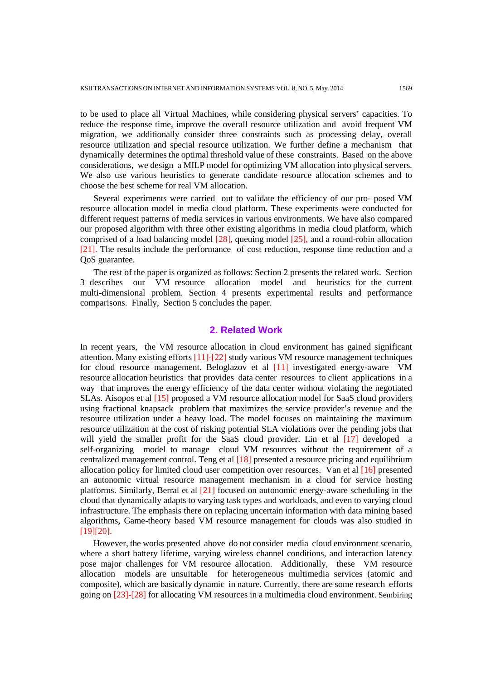to be used to place all Virtual Machines, while considering physical servers' capacities. To reduce the response time, improve the overall resource utilization and avoid frequent VM migration, we additionally consider three constraints such as processing delay, overall resource utilization and special resource utilization. We further define a mechanism that dynamically determines the optimal threshold value of these constraints. Based on the above considerations, we design a MILP model for optimizing VM allocation into physical servers. We also use various heuristics to generate candidate resource allocation schemes and to choose the best scheme for real VM allocation.

 Several experiments were carried out to validate the efficiency of our pro- posed VM resource allocation model in media cloud platform. These experiments were conducted for different request patterns of media services in various environments. We have also compared our proposed algorithm with three other existing algorithms in media cloud platform, which comprised of a load balancing model [28], queuing model [25], and a round-robin allocation [21]. The results include the performance of cost reduction, response time reduction and a QoS guarantee.

 The rest of the paper is organized as follows: Section 2 presents the related work. Section 3 describes our VM resource allocation model and heuristics for the current multi-dimensional problem. Section 4 presents experimental results and performance comparisons. Finally, Section 5 concludes the paper.

## **2. Related Work**

In recent years, the VM resource allocation in cloud environment has gained significant attention. Many existing efforts [11]-[22] study various VM resource management techniques for cloud resource management. Beloglazov et al [11] investigated energy-aware VM resource allocation heuristics that provides data center resources to client applications in a way that improves the energy efficiency of the data center without violating the negotiated SLAs. Aisopos et al [15] proposed a VM resource allocation model for SaaS cloud providers using fractional knapsack problem that maximizes the service provider's revenue and the resource utilization under a heavy load. The model focuses on maintaining the maximum resource utilization at the cost of risking potential SLA violations over the pending jobs that will yield the smaller profit for the SaaS cloud provider. Lin et al [17] developed a self-organizing model to manage cloud VM resources without the requirement of a centralized management control. Teng et al [18] presented a resource pricing and equilibrium allocation policy for limited cloud user competition over resources. Van et al [16] presented an autonomic virtual resource management mechanism in a cloud for service hosting platforms. Similarly, Berral et al [21] focused on autonomic energy-aware scheduling in the cloud that dynamically adapts to varying task types and workloads, and even to varying cloud infrastructure. The emphasis there on replacing uncertain information with data mining based algorithms, Game-theory based VM resource management for clouds was also studied in [19][20].

 However, the works presented above do not consider media cloud environment scenario, where a short battery lifetime, varying wireless channel conditions, and interaction latency pose major challenges for VM resource allocation. Additionally, these VM resource allocation models are unsuitable for heterogeneous multimedia services (atomic and composite), which are basically dynamic in nature. Currently, there are some research efforts going on [23]-[28] for allocating VM resources in a multimedia cloud environment. Sembiring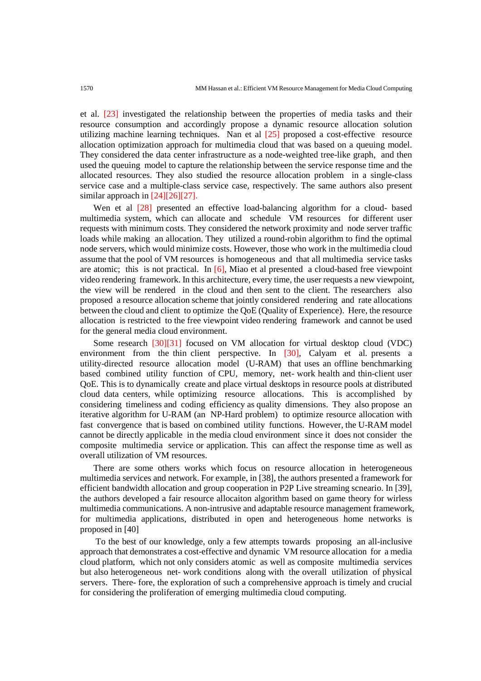et al. [23] investigated the relationship between the properties of media tasks and their resource consumption and accordingly propose a dynamic resource allocation solution utilizing machine learning techniques. Nan et al [25] proposed a cost-effective resource allocation optimization approach for multimedia cloud that was based on a queuing model. They considered the data center infrastructure as a node-weighted tree-like graph, and then used the queuing model to capture the relationship between the service response time and the allocated resources. They also studied the resource allocation problem in a single-class service case and a multiple-class service case, respectively. The same authors also present similar approach in  $[24][26][27]$ .

 Wen et al [28] presented an effective load-balancing algorithm for a cloud- based multimedia system, which can allocate and schedule VM resources for different user requests with minimum costs. They considered the network proximity and node server traffic loads while making an allocation. They utilized a round-robin algorithm to find the optimal node servers, which would minimize costs. However, those who work in the multimedia cloud assume that the pool of VM resources is homogeneous and that all multimedia service tasks are atomic; this is not practical. In  $[6]$ , Miao et al presented a cloud-based free viewpoint video rendering framework. In this architecture, every time, the user requests a new viewpoint, the view will be rendered in the cloud and then sent to the client. The researchers also proposed a resource allocation scheme that jointly considered rendering and rate allocations between the cloud and client to optimize the QoE (Quality of Experience). Here, the resource allocation is restricted to the free viewpoint video rendering framework and cannot be used for the general media cloud environment.

 Some research [30][31] focused on VM allocation for virtual desktop cloud (VDC) environment from the thin client perspective. In [30], Calyam et al. presents a utility-directed resource allocation model (U-RAM) that uses an offline benchmarking based combined utility function of CPU, memory, net- work health and thin-client user QoE. This is to dynamically create and place virtual desktops in resource pools at distributed cloud data centers, while optimizing resource allocations. This is accomplished by considering timeliness and coding efficiency as quality dimensions. They also propose an iterative algorithm for U-RAM (an NP-Hard problem) to optimize resource allocation with fast convergence that is based on combined utility functions. However, the U-RAM model cannot be directly applicable in the media cloud environment since it does not consider the composite multimedia service or application. This can affect the response time as well as overall utilization of VM resources.

 There are some others works which focus on resource allocation in heterogeneous multimedia services and network. For example, in [38], the authors presented a framework for efficient bandwidth allocation and group cooperation in P2P Live streaming scneario. In [39], the authors developed a fair resource allocaiton algorithm based on game theory for wirless multimedia communications. A non-intrusive and adaptable resource management framework, for multimedia applications, distributed in open and heterogeneous home networks is proposed in [40]

 To the best of our knowledge, only a few attempts towards proposing an all-inclusive approach that demonstrates a cost-effective and dynamic VM resource allocation for a media cloud platform, which not only considers atomic as well as composite multimedia services but also heterogeneous net- work conditions along with the overall utilization of physical servers. There- fore, the exploration of such a comprehensive approach is timely and crucial for considering the proliferation of emerging multimedia cloud computing.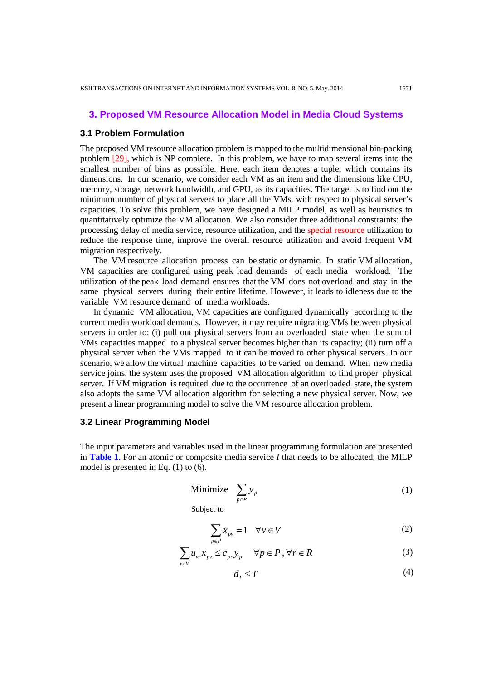# **3. Proposed VM Resource Allocation Model in Media Cloud Systems**

#### **3.1 Problem Formulation**

The proposed VM resource allocation problem is mapped to the multidimensional bin-packing problem [29], which is NP complete. In this problem, we have to map several items into the smallest number of bins as possible. Here, each item denotes a tuple, which contains its dimensions. In our scenario, we consider each VM as an item and the dimensions like CPU, memory, storage, network bandwidth, and GPU, as its capacities. The target is to find out the minimum number of physical servers to place all the VMs, with respect to physical server's capacities. To solve this problem, we have designed a MILP model, as well as heuristics to quantitatively optimize the VM allocation. We also consider three additional constraints: the processing delay of media service, resource utilization, and the special resource utilization to reduce the response time, improve the overall resource utilization and avoid frequent VM migration respectively.

 The VM resource allocation process can be static or dynamic. In static VM allocation, VM capacities are configured using peak load demands of each media workload. The utilization of the peak load demand ensures that the VM does not overload and stay in the same physical servers during their entire lifetime. However, it leads to idleness due to the variable VM resource demand of media workloads.

 In dynamic VM allocation, VM capacities are configured dynamically according to the current media workload demands. However, it may require migrating VMs between physical servers in order to: (i) pull out physical servers from an overloaded state when the sum of VMs capacities mapped to a physical server becomes higher than its capacity; (ii) turn off a physical server when the VMs mapped to it can be moved to other physical servers. In our scenario, we allow the virtual machine capacities to be varied on demand. When new media service joins, the system uses the proposed VM allocation algorithm to find proper physical server. If VM migration is required due to the occurrence of an overloaded state, the system also adopts the same VM allocation algorithm for selecting a new physical server. Now, we present a linear programming model to solve the VM resource allocation problem.

## **3.2 Linear Programming Model**

The input parameters and variables used in the linear programming formulation are presented in **Table 1.** For an atomic or composite media service *I* that needs to be allocated, the MILP model is presented in Eq. (1) to (6).

$$
\text{Minimize} \quad \sum_{p \in P} y_p \tag{1}
$$

Subject to

$$
\sum_{p \in P} x_{pv} = 1 \quad \forall v \in V \tag{2}
$$

$$
\sum_{v \in V} u_{vr} x_{pv} \le c_{pr} y_p \quad \forall p \in P, \forall r \in R
$$
 (3)

$$
d_I \le T \tag{4}
$$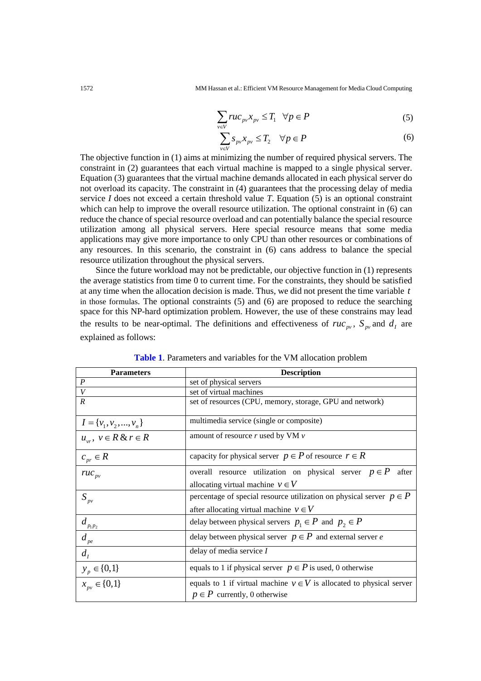$$
\sum_{v \in V} ruc_{pv} x_{pv} \le T_1 \quad \forall p \in P \tag{5}
$$

$$
\sum_{v \in V} s_{pv} x_{pv} \le T_2 \quad \forall p \in P \tag{6}
$$

The objective function in (1) aims at minimizing the number of required physical servers. The constraint in (2) guarantees that each virtual machine is mapped to a single physical server. Equation (3) guarantees that the virtual machine demands allocated in each physical server do not overload its capacity. The constraint in (4) guarantees that the processing delay of media service *I* does not exceed a certain threshold value *T*. Equation (5) is an optional constraint which can help to improve the overall resource utilization. The optional constraint in (6) can reduce the chance of special resource overload and can potentially balance the special resource utilization among all physical servers. Here special resource means that some media applications may give more importance to only CPU than other resources or combinations of any resources. In this scenario, the constraint in (6) cans address to balance the special resource utilization throughout the physical servers.

 Since the future workload may not be predictable, our objective function in (1) represents the average statistics from time 0 to current time. For the constraints, they should be satisfied at any time when the allocation decision is made. Thus, we did not present the time variable *t* in those formulas. The optional constraints (5) and (6) are proposed to reduce the searching space for this NP-hard optimization problem. However, the use of these constrains may lead the results to be near-optimal. The definitions and effectiveness of  $ruc_{\scriptscriptstyle{pv}}$ ,  $S_{\scriptscriptstyle{pv}}$  and  $d_{\scriptscriptstyle{I}}$  are explained as follows:

| <b>Parameters</b>            | <b>Description</b>                                                                                           |  |  |  |  |  |
|------------------------------|--------------------------------------------------------------------------------------------------------------|--|--|--|--|--|
| $\boldsymbol{P}$             | set of physical servers                                                                                      |  |  |  |  |  |
| $\boldsymbol{V}$             | set of virtual machines                                                                                      |  |  |  |  |  |
| $\overline{R}$               | set of resources (CPU, memory, storage, GPU and network)                                                     |  |  |  |  |  |
| $I = \{v_1, v_2, , v_n\}$    | multimedia service (single or composite)                                                                     |  |  |  |  |  |
| $u_{rr}, v \in R \& r \in R$ | amount of resource $r$ used by VM $v$                                                                        |  |  |  |  |  |
| $c_{pr} \in R$               | capacity for physical server $p \in P$ of resource $r \in R$                                                 |  |  |  |  |  |
| $ruc_{pv}$                   | overall resource utilization on physical server $p \in P$<br>after                                           |  |  |  |  |  |
|                              | allocating virtual machine $v \in V$                                                                         |  |  |  |  |  |
| $S_{p\nu}$                   | percentage of special resource utilization on physical server $p \in P$                                      |  |  |  |  |  |
|                              | after allocating virtual machine $v \in V$                                                                   |  |  |  |  |  |
| $d_{\frac{p_1p_2}{}}$        | delay between physical servers $p_1 \in P$ and $p_2 \in P$                                                   |  |  |  |  |  |
| $d_{pe}$                     | delay between physical server $p \in P$ and external server e                                                |  |  |  |  |  |
| $d_{I}$                      | delay of media service $I$                                                                                   |  |  |  |  |  |
| $y_p \in \{0,1\}$            | equals to 1 if physical server $p \in P$ is used, 0 otherwise                                                |  |  |  |  |  |
| $x_{\text{nv}} \in \{0,1\}$  | equals to 1 if virtual machine $v \in V$ is allocated to physical server<br>$p \in P$ currently, 0 otherwise |  |  |  |  |  |

**Table 1**. Parameters and variables for the VM allocation problem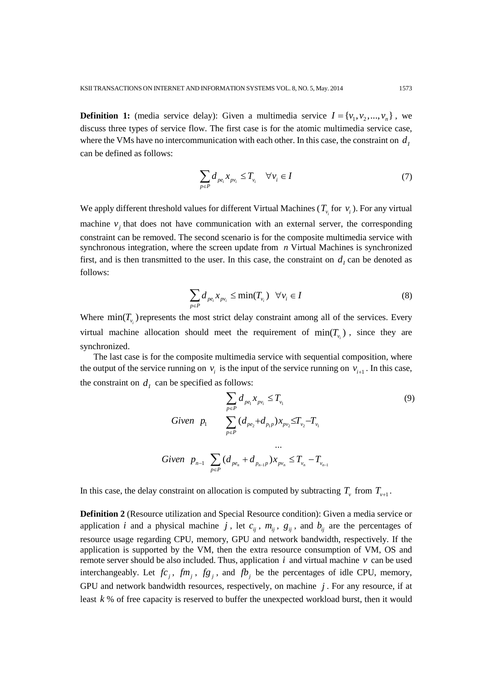**Definition 1:** (media service delay): Given a multimedia service  $I = \{v_1, v_2, ..., v_n\}$ , we discuss three types of service flow. The first case is for the atomic multimedia service case, where the VMs have no intercommunication with each other. In this case, the constraint on  $d<sub>I</sub>$ can be defined as follows:

$$
\sum_{p \in P} d_{pe_i} x_{pv_i} \le T_{v_i} \quad \forall v_i \in I \tag{7}
$$

We apply different threshold values for different Virtual Machines ( $T_{v_i}$  for  $v_i$ ). For any virtual machine  $v_j$  that does not have communication with an external server, the corresponding constraint can be removed. The second scenario is for the composite multimedia service with synchronous integration, where the screen update from *n* Virtual Machines is synchronized first, and is then transmitted to the user. In this case, the constraint on  $d<sub>I</sub>$  can be denoted as follows:

$$
\sum_{p \in P} d_{pe_i} x_{pv_i} \le \min(T_{v_i}) \quad \forall v_i \in I
$$
\n(8)

Where  $min(T_{\nu_i})$  represents the most strict delay constraint among all of the services. Every virtual machine allocation should meet the requirement of  $min(T_{\nu})$ , since they are synchronized.

 The last case is for the composite multimedia service with sequential composition, where the output of the service running on  $v_i$  is the input of the service running on  $v_{i+1}$ . In this case, the constraint on  $d_i$  can be specified as follows:

$$
\sum_{p \in P} d_{pe_1} x_{pv_i} \le T_{v_1}
$$
\nGiven  $p_1$ 

\n
$$
\sum_{p \in P} (d_{pe_2} + d_{p_1p}) x_{pv_2} \le T_{v_2} - T_{v_1}
$$
\n
$$
\dots
$$
\nGiven  $p_{n-1}$ 

\n
$$
\sum_{p \in P} (d_{pe_n} + d_{p_{n-1}p}) x_{pv_n} \le T_{v_n} - T_{v_{n-1}}
$$
\n(9)

In this case, the delay constraint on allocation is computed by subtracting  $T_v$  from  $T_{v+1}$ .

**Definition 2** (Resource utilization and Special Resource condition): Given a media service or application *i* and a physical machine *j*, let  $c_{ij}$ ,  $m_{ij}$ ,  $g_{ij}$ , and  $b_{ij}$  are the percentages of resource usage regarding CPU, memory, GPU and network bandwidth, respectively. If the application is supported by the VM, then the extra resource consumption of VM, OS and remote server should be also included. Thus, application  $i$  and virtual machine  $v$  can be used interchangeably. Let  $fc_i$ ,  $fm_i$ ,  $fg_i$ , and  $fb_i$  be the percentages of idle CPU, memory, GPU and network bandwidth resources, respectively, on machine *j* . For any resource, if at least *k* % of free capacity is reserved to buffer the unexpected workload burst, then it would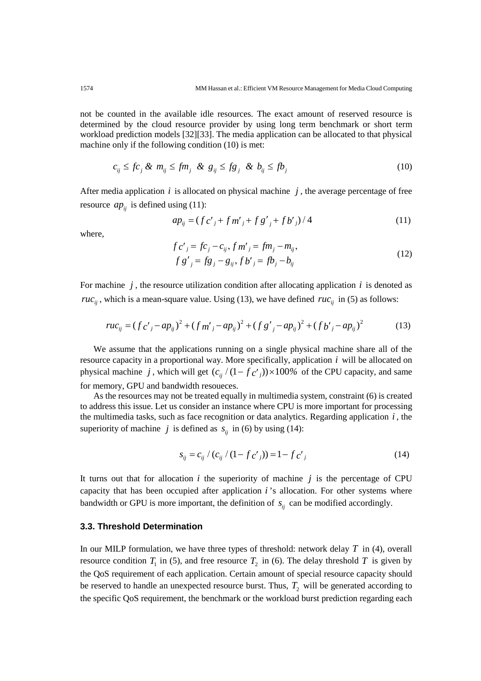not be counted in the available idle resources. The exact amount of reserved resource is determined by the cloud resource provider by using long term benchmark or short term workload prediction models [32][33]. The media application can be allocated to that physical machine only if the following condition (10) is met:

$$
c_{ij} \leq fc_j \& m_{ij} \leq fm_j \& g_{ij} \leq fg_j \& b_{ij} \leq fb_j \tag{10}
$$

After media application  $i$  is allocated on physical machine  $j$ , the average percentage of free resource  $ap_{ij}$  is defined using (11):

$$
ap_{ij} = (f c'_{j} + f m'_{j} + f g'_{j} + f b'_{j})/4
$$
\n(11)

where,

$$
f c'_{j} = f c_{j} - c_{ij}, f m'_{j} = f m_{j} - m_{ij},
$$
  
\n
$$
f g'_{j} = f g_{j} - g_{ij}, f b'_{j} = f b_{j} - b_{ij}
$$
\n(12)

For machine  $j$ , the resource utilization condition after allocating application  $i$  is denoted as *ruc*<sub>ii</sub>, which is a mean-square value. Using (13), we have defined *ruc*<sub>ii</sub> in (5) as follows:

$$
ruc_{ij} = (f c'_{j} - ap_{ij})^{2} + (f m'_{j} - ap_{ij})^{2} + (f g'_{j} - ap_{ij})^{2} + (f b'_{j} - ap_{ij})^{2}
$$
 (13)

 We assume that the applications running on a single physical machine share all of the resource capacity in a proportional way. More specifically, application *i* will be allocated on physical machine *j*, which will get  $(c_{ii}/(1-f_c)) \times 100\%$  of the CPU capacity, and same for memory, GPU and bandwidth resoueces.

 As the resources may not be treated equally in multimedia system, constraint (6) is created to address this issue. Let us consider an instance where CPU is more important for processing the multimedia tasks, such as face recognition or data analytics. Regarding application *i* , the superiority of machine *j* is defined as  $s_{ij}$  in (6) by using (14):

$$
s_{ij} = c_{ij} / (c_{ij} / (1 - f c') ) = 1 - f c'_{j}
$$
 (14)

It turns out that for allocation *i* the superiority of machine *j* is the percentage of CPU capacity that has been occupied after application *i* 's allocation. For other systems where bandwidth or GPU is more important, the definition of  $s_{ij}$  can be modified accordingly.

## **3.3. Threshold Determination**

In our MILP formulation, we have three types of threshold: network delay *T* in (4), overall resource condition  $T_1$  in (5), and free resource  $T_2$  in (6). The delay threshold  $T$  is given by the QoS requirement of each application. Certain amount of special resource capacity should be reserved to handle an unexpected resource burst. Thus,  $T_2$  will be generated according to the specific QoS requirement, the benchmark or the workload burst prediction regarding each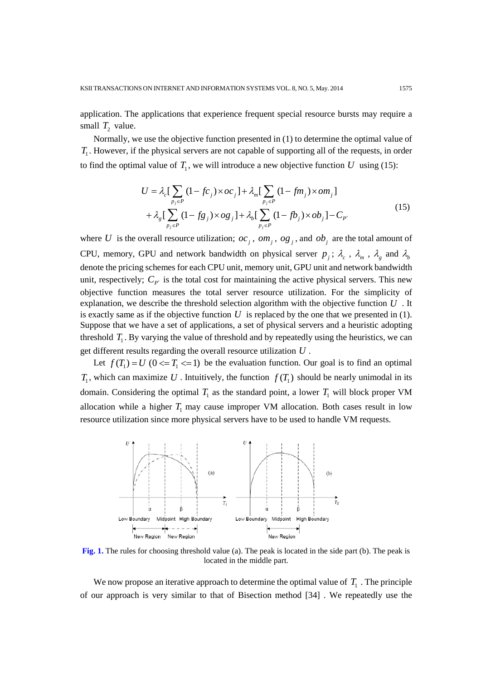application. The applications that experience frequent special resource bursts may require a small  $T_2$  value.

 Normally, we use the objective function presented in (1) to determine the optimal value of *T*<sub>1</sub>. However, if the physical servers are not capable of supporting all of the requests, in order to find the optimal value of  $T_1$ , we will introduce a new objective function U using (15):

$$
U = \lambda_c \left[ \sum_{p_j \in P} (1 - fc_j) \times oc_j \right] + \lambda_m \left[ \sum_{p_j \in P} (1 - fm_j) \times om_j \right]
$$
  
+ 
$$
\lambda_g \left[ \sum_{p_j \in P} (1 - fg_j) \times og_j \right] + \lambda_b \left[ \sum_{p_j \in P} (1 - fb_j) \times ob_j \right] - C_{P'} \tag{15}
$$

where *U* is the overall resource utilization;  $oc_j$ ,  $om_j$ ,  $og_j$ , and  $ob_j$  are the total amount of CPU, memory, GPU and network bandwidth on physical server  $p_j$ ;  $\lambda_c$ ,  $\lambda_m$ ,  $\lambda_g$  and  $\lambda_b$ denote the pricing schemes for each CPU unit, memory unit, GPU unit and network bandwidth unit, respectively;  $C_{p'}$  is the total cost for maintaining the active physical servers. This new objective function measures the total server resource utilization. For the simplicity of explanation, we describe the threshold selection algorithm with the objective function *U* . It is exactly same as if the objective function  $U$  is replaced by the one that we presented in  $(1)$ . Suppose that we have a set of applications, a set of physical servers and a heuristic adopting threshold  $T_1$ . By varying the value of threshold and by repeatedly using the heuristics, we can get different results regarding the overall resource utilization *U* .

Let  $f(T_1) = U$   $(0 \le T_1 \le 1)$  be the evaluation function. Our goal is to find an optimal  $T_1$ , which can maximize U. Intuitively, the function  $f(T_1)$  should be nearly unimodal in its domain. Considering the optimal  $T_1$  as the standard point, a lower  $T_1$  will block proper VM allocation while a higher  $T_1$  may cause improper VM allocation. Both cases result in low resource utilization since more physical servers have to be used to handle VM requests.



**Fig. 1.** The rules for choosing threshold value (a). The peak is located in the side part (b). The peak is located in the middle part.

We now propose an iterative approach to determine the optimal value of  $T_1$ . The principle of our approach is very similar to that of Bisection method [34] . We repeatedly use the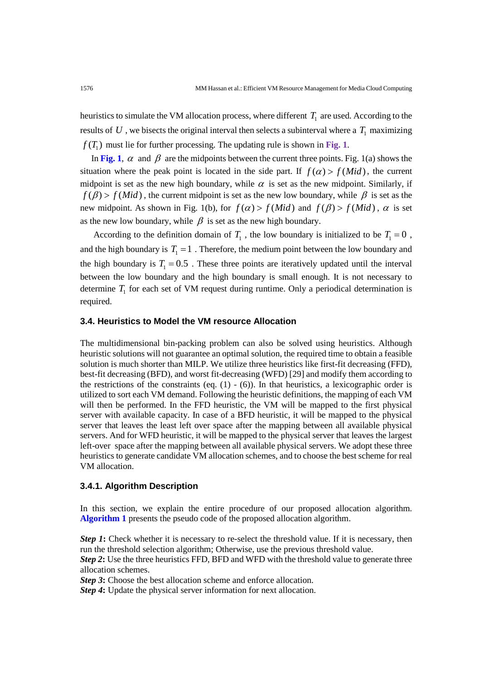heuristics to simulate the VM allocation process, where different  $T<sub>1</sub>$  are used. According to the results of  $U$ , we bisects the original interval then selects a subinterval where a  $T_1$  maximizing  $f(T_1)$  must lie for further processing. The updating rule is shown in Fig. 1.

In Fig. 1,  $\alpha$  and  $\beta$  are the midpoints between the current three points. Fig. 1(a) shows the situation where the peak point is located in the side part. If  $f(\alpha) > f(Mid)$ , the current midpoint is set as the new high boundary, while  $\alpha$  is set as the new midpoint. Similarly, if  $f(\beta)$  >  $f(Mid)$ , the current midpoint is set as the new low boundary, while  $\beta$  is set as the new midpoint. As shown in Fig. 1(b), for  $f(\alpha) > f(Mid)$  and  $f(\beta) > f(Mid)$ ,  $\alpha$  is set as the new low boundary, while  $\beta$  is set as the new high boundary.

According to the definition domain of  $T_1$ , the low boundary is initialized to be  $T_1 = 0$ , and the high boundary is  $T_1 = 1$ . Therefore, the medium point between the low boundary and the high boundary is  $T_1 = 0.5$ . These three points are iteratively updated until the interval between the low boundary and the high boundary is small enough. It is not necessary to determine  $T_1$  for each set of VM request during runtime. Only a periodical determination is required.

## **3.4. Heuristics to Model the VM resource Allocation**

The multidimensional bin-packing problem can also be solved using heuristics. Although heuristic solutions will not guarantee an optimal solution, the required time to obtain a feasible solution is much shorter than MILP. We utilize three heuristics like first-fit decreasing (FFD), best-fit decreasing (BFD), and worst fit-decreasing (WFD) [29] and modify them according to the restrictions of the constraints (eq.  $(1)$  -  $(6)$ ). In that heuristics, a lexicographic order is utilized to sort each VM demand. Following the heuristic definitions, the mapping of each VM will then be performed. In the FFD heuristic, the VM will be mapped to the first physical server with available capacity. In case of a BFD heuristic, it will be mapped to the physical server that leaves the least left over space after the mapping between all available physical servers. And for WFD heuristic, it will be mapped to the physical server that leaves the largest left-over space after the mapping between all available physical servers. We adopt these three heuristics to generate candidate VM allocation schemes, and to choose the best scheme for real VM allocation.

## **3.4.1. Algorithm Description**

In this section, we explain the entire procedure of our proposed allocation algorithm. **Algorithm 1** presents the pseudo code of the proposed allocation algorithm.

*Step 1*: Check whether it is necessary to re-select the threshold value. If it is necessary, then run the threshold selection algorithm; Otherwise, use the previous threshold value. *Step 2***:** Use the three heuristics FFD, BFD and WFD with the threshold value to generate three allocation schemes.

*Step 3*: Choose the best allocation scheme and enforce allocation.

*Step 4***:** Update the physical server information for next allocation.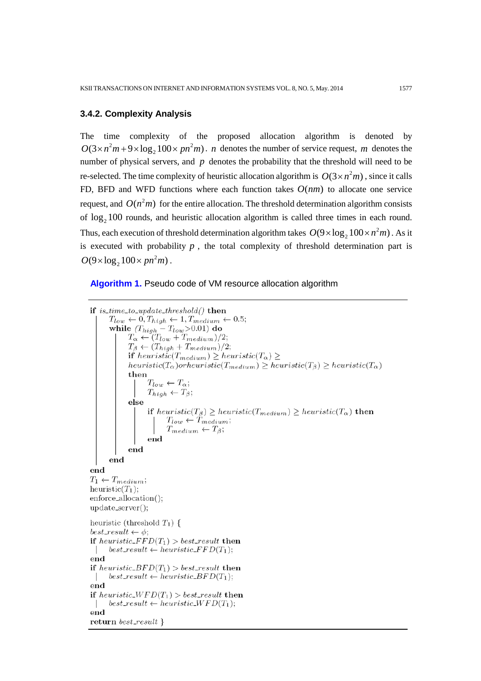## **3.4.2. Complexity Analysis**

The time complexity of the proposed allocation algorithm is denoted by  $O(3 \times n^2 m + 9 \times \log_2 100 \times pn^2 m)$ . *n* denotes the number of service request, *m* denotes the number of physical servers, and *p* denotes the probability that the threshold will need to be re-selected. The time complexity of heuristic allocation algorithm is  $O(3 \times n^2 m)$ , since it calls FD, BFD and WFD functions where each function takes  $O(nm)$  to allocate one service request, and  $O(n^2m)$  for the entire allocation. The threshold determination algorithm consists of  $log<sub>2</sub> 100$  rounds, and heuristic allocation algorithm is called three times in each round. Thus, each execution of threshold determination algorithm takes  $O(9 \times \log_2 100 \times n^2 m)$ . As it is executed with probability  $p$ , the total complexity of threshold determination part is  $O(9 \times \log_2 100 \times pn^2m)$ .

#### **Algorithm 1.** Pseudo code of VM resource allocation algorithm

```
if is_time_to_update_threshold() then
       T_{low} \leftarrow 0, T_{high} \leftarrow 1, T_{medium} \leftarrow 0.5;while (T_{high} - T_{low} > 0.01) do
              T_{\alpha} \leftarrow (T_{low} + T_{medium})/2;T_{\beta} \leftarrow (T_{high} + T_{medium})/2;if heuristic(T_{medium}) \geq heuristic(T_{\alpha}) \geqheuristic(T_{\alpha})orheuristic(T_{medium}) \geq heuristic(T_{\beta}) \geq heuristic(T_{\alpha})
              then
                     T_{low} \leftarrow T_{\alpha};T_{high} \leftarrow T_{\beta};else
                     if heuristic(T_{\beta}) \geq heuristic(T_{medium}) \geq heuristic(T_{\alpha}) then
                            T_{low} \leftarrow \widetilde{T}_{medium};T_{medium} \leftarrow T_{\beta};end
              end
       end
end
T_1 \leftarrow T_{medium};heuristic(T_1);
enforce_allocation();
update\_server();heuristic (threshold T_1) {
best_result \leftarrow \phi;
if hearistic_FFD(T_1) > best\_result then
     best\_result \leftarrow heuristic\_FFD(T_1);\mathbf{L}end
if heuristic_BFD(T_1) > best\_result then
     best\_result \leftarrow heuristic\_BFD(T_1);\mathbf{L}end
if heuristic_WFD(T_1) > best_result then
\left| \quad \text{best\_result} \leftarrow \text{heuristic\_WFD(T_1)};end
return best_result \}
```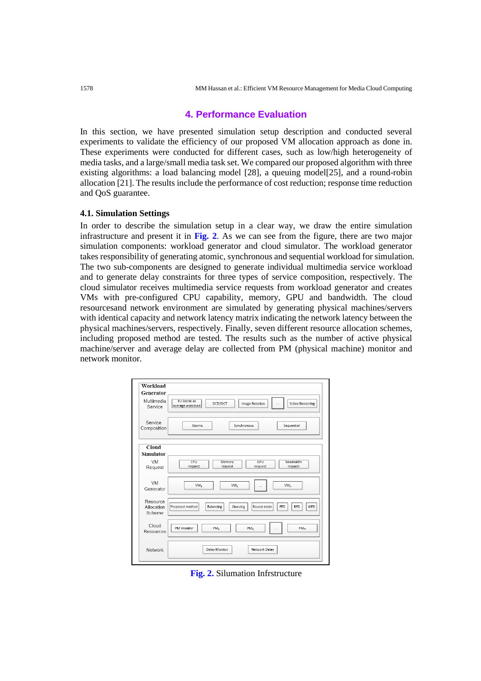## **4. Performance Evaluation**

In this section, we have presented simulation setup description and conducted several experiments to validate the efficiency of our proposed VM allocation approach as done in. These experiments were conducted for different cases, such as low/high heterogeneity of media tasks, and a large/small media task set. We compared our proposed algorithm with three existing algorithms: a load balancing model [28], a queuing model[25], and a round-robin allocation [21]. The results include the performance of cost reduction; response time reduction and QoS guarantee.

#### **4.1. Simulation Settings**

In order to describe the simulation setup in a clear way, we draw the entire simulation infrastructure and present it in **Fig. 2**. As we can see from the figure, there are two major simulation components: workload generator and cloud simulator. The workload generator takes responsibility of generating atomic, synchronous and sequential workload for simulation. The two sub-components are designed to generate individual multimedia service workload and to generate delay constraints for three types of service composition, respectively. The cloud simulator receives multimedia service requests from workload generator and creates VMs with pre-configured CPU capability, memory, GPU and bandwidth. The cloud resourcesand network environment are simulated by generating physical machines/servers with identical capacity and network latency matrix indicating the network latency between the physical machines/servers, respectively. Finally, seven different resource allocation schemes, including proposed method are tested. The results such as the number of active physical machine/server and average delay are collected from PM (physical machine) monitor and network monitor.

| Workload<br>Generator            |                                                                                                  |
|----------------------------------|--------------------------------------------------------------------------------------------------|
| Multimedia<br>Service            | TU-Berlin as<br>DCT/IDCT<br><b>Image Rotation</b><br>Video Rendering<br>i.<br>average workload   |
| Service<br>Composition           | Atomic<br>Synchronous<br>Sequential                                                              |
| Cloud<br>Simulator               |                                                                                                  |
| <b>VM</b><br>Request             | CPU<br>GPU<br>Bandwidth<br>Memory<br>request<br>request<br>request<br>request                    |
| <b>VM</b><br>Generator           | VM,<br>VM,<br>VM <sub>n</sub>                                                                    |
| Resource<br>Allocation<br>Scheme | Proposed method<br>Round-robin<br>WFD<br><b>Balancing</b><br>Queuing<br><b>FFD</b><br><b>BFD</b> |
| Cloud<br>Resources               | PM monitor<br>PM <sub>m</sub><br>PM <sub>1</sub><br>PM <sub>2</sub><br>$\cdots$                  |
| Network                          | Delay Monitor<br>Network Delay                                                                   |

**Fig. 2.** Silumation Infrstructure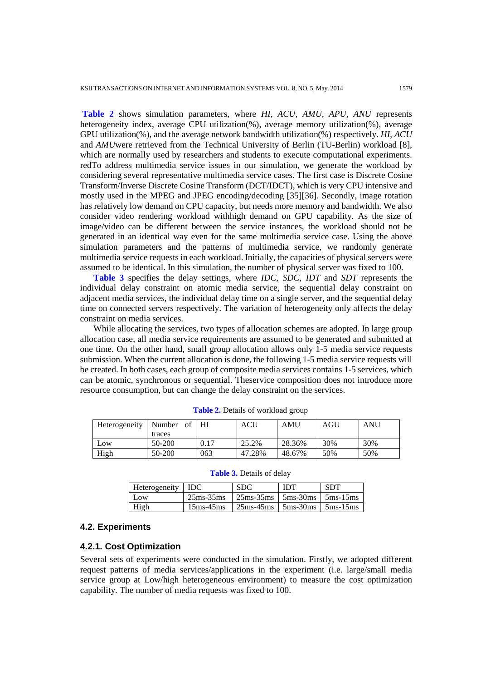**Table 2** shows simulation parameters, where *HI, ACU, AMU, APU, ANU* represents heterogeneity index, average CPU utilization(%), average memory utilization(%), average GPU utilization(%), and the average network bandwidth utilization(%) respectively. *HI*, *ACU*  and *AMU*were retrieved from the Technical University of Berlin (TU-Berlin) workload [8], which are normally used by researchers and students to execute computational experiments. redTo address multimedia service issues in our simulation, we generate the workload by considering several representative multimedia service cases. The first case is Discrete Cosine Transform/Inverse Discrete Cosine Transform (DCT/IDCT), which is very CPU intensive and mostly used in the MPEG and JPEG encoding/decoding [35][36]. Secondly, image rotation has relatively low demand on CPU capacity, but needs more memory and bandwidth. We also consider video rendering workload withhigh demand on GPU capability. As the size of image/video can be different between the service instances, the workload should not be generated in an identical way even for the same multimedia service case. Using the above simulation parameters and the patterns of multimedia service, we randomly generate multimedia service requests in each workload. Initially, the capacities of physical servers were assumed to be identical. In this simulation, the number of physical server was fixed to 100.

 **Table 3** specifies the delay settings, where *IDC*, *SDC*, *IDT* and *SDT* represents the individual delay constraint on atomic media service, the sequential delay constraint on adjacent media services, the individual delay time on a single server, and the sequential delay time on connected servers respectively. The variation of heterogeneity only affects the delay constraint on media services.

 While allocating the services, two types of allocation schemes are adopted. In large group allocation case, all media service requirements are assumed to be generated and submitted at one time. On the other hand, small group allocation allows only 1-5 media service requests submission. When the current allocation is done, the following 1-5 media service requests will be created. In both cases, each group of composite media services contains 1-5 services, which can be atomic, synchronous or sequential. Theservice composition does not introduce more resource consumption, but can change the delay constraint on the services.

| Heterogeneity   Number of   HI |        |      | ACU    | AMU    | AGU | ANU |
|--------------------------------|--------|------|--------|--------|-----|-----|
|                                | traces |      |        |        |     |     |
| Low                            | 50-200 | 0.17 | 25.2%  | 28.36% | 30% | 30% |
| High                           | 50-200 | 063  | 47.28% | 48.67% | 50% | 50% |

**Table 2.** Details of workload group

| Heterogeneity   IDC |                  | <b>SDC</b>                                                                                  | <b>IDT</b> | <b>SDT</b> |
|---------------------|------------------|---------------------------------------------------------------------------------------------|------------|------------|
| Low                 | $25$ ms- $35$ ms | $\frac{1}{25}$ ms-35ms $\frac{1}{25}$ ms-30ms $\frac{1}{25}$ ms-15ms                        |            |            |
| High                | $15ms-45ms$      | $25 \text{ms} - 45 \text{ms}$   $5 \text{ms} - 30 \text{ms}$   $5 \text{ms} - 15 \text{ms}$ |            |            |

**Table 3.** Details of delay

### **4.2. Experiments**

#### **4.2.1. Cost Optimization**

Several sets of experiments were conducted in the simulation. Firstly, we adopted different request patterns of media services/applications in the experiment (i.e. large/small media service group at Low/high heterogeneous environment) to measure the cost optimization capability. The number of media requests was fixed to 100.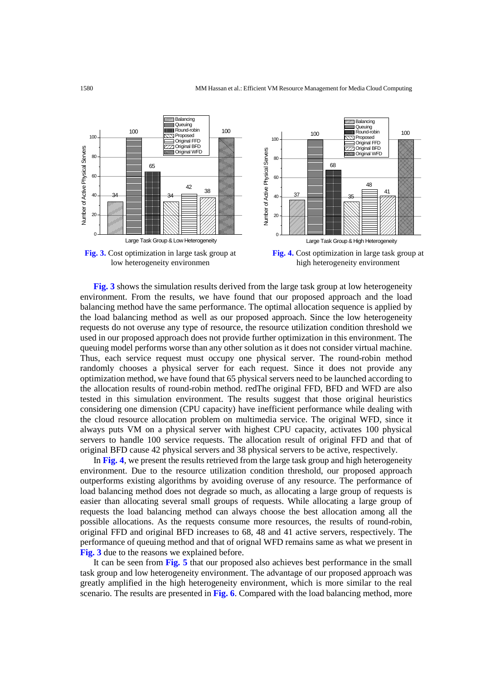

 **Fig. 3** shows the simulation results derived from the large task group at low heterogeneity environment. From the results, we have found that our proposed approach and the load balancing method have the same performance. The optimal allocation sequence is applied by the load balancing method as well as our proposed approach. Since the low heterogeneity requests do not overuse any type of resource, the resource utilization condition threshold we used in our proposed approach does not provide further optimization in this environment. The queuing model performs worse than any other solution as it does not consider virtual machine. Thus, each service request must occupy one physical server. The round-robin method randomly chooses a physical server for each request. Since it does not provide any optimization method, we have found that 65 physical servers need to be launched according to the allocation results of round-robin method. redThe original FFD, BFD and WFD are also tested in this simulation environment. The results suggest that those original heuristics considering one dimension (CPU capacity) have inefficient performance while dealing with the cloud resource allocation problem on multimedia service. The original WFD, since it always puts VM on a physical server with highest CPU capacity, activates 100 physical servers to handle 100 service requests. The allocation result of original FFD and that of original BFD cause 42 physical servers and 38 physical servers to be active, respectively.

 In **Fig. 4**, we present the results retrieved from the large task group and high heterogeneity environment. Due to the resource utilization condition threshold, our proposed approach outperforms existing algorithms by avoiding overuse of any resource. The performance of load balancing method does not degrade so much, as allocating a large group of requests is easier than allocating several small groups of requests. While allocating a large group of requests the load balancing method can always choose the best allocation among all the possible allocations. As the requests consume more resources, the results of round-robin, original FFD and original BFD increases to 68, 48 and 41 active servers, respectively. The performance of queuing method and that of orignal WFD remains same as what we present in **Fig. 3** due to the reasons we explained before.

 It can be seen from **Fig. 5** that our proposed also achieves best performance in the small task group and low heterogeneity environment. The advantage of our proposed approach was greatly amplified in the high heterogeneity environment, which is more similar to the real scenario. The results are presented in **Fig. 6**. Compared with the load balancing method, more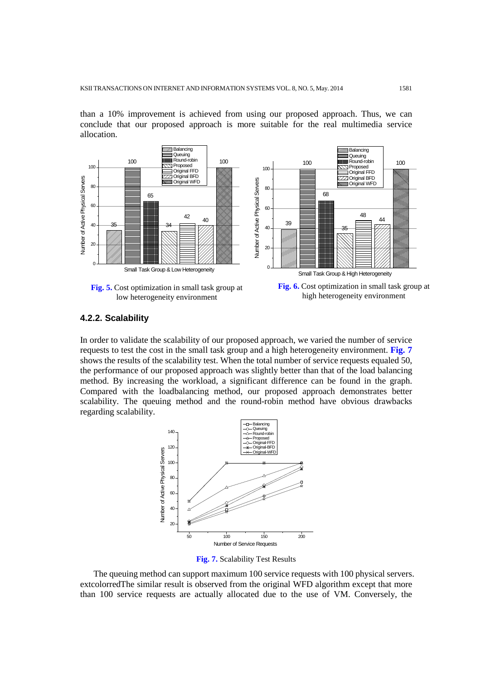than a 10% improvement is achieved from using our proposed approach. Thus, we can conclude that our proposed approach is more suitable for the real multimedia service allocation.



## **4.2.2. Scalability**

In order to validate the scalability of our proposed approach, we varied the number of service requests to test the cost in the small task group and a high heterogeneity environment. **Fig. 7** shows the results of the scalability test. When the total number of service requests equaled 50, the performance of our proposed approach was slightly better than that of the load balancing method. By increasing the workload, a significant difference can be found in the graph. Compared with the loadbalancing method, our proposed approach demonstrates better scalability. The queuing method and the round-robin method have obvious drawbacks regarding scalability.



**Fig. 7.** Scalability Test Results

 The queuing method can support maximum 100 service requests with 100 physical servers. extcolorredThe similar result is observed from the original WFD algorithm except that more than 100 service requests are actually allocated due to the use of VM. Conversely, the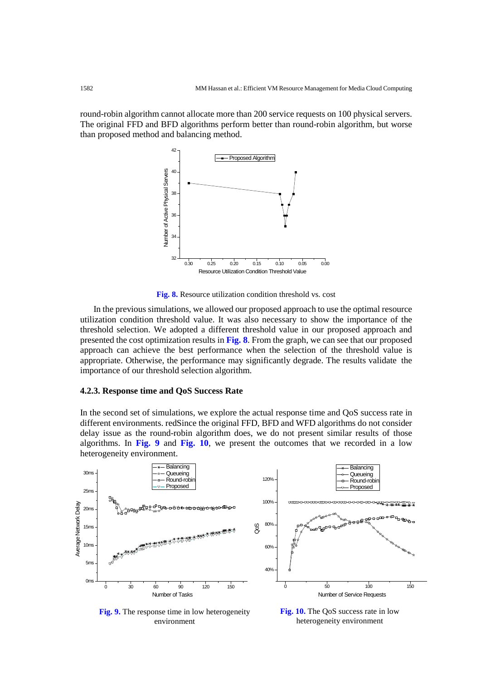round-robin algorithm cannot allocate more than 200 service requests on 100 physical servers. The original FFD and BFD algorithms perform better than round-robin algorithm, but worse than proposed method and balancing method.



**Fig. 8.** Resource utilization condition threshold vs. cost

 In the previous simulations, we allowed our proposed approach to use the optimal resource utilization condition threshold value. It was also necessary to show the importance of the threshold selection. We adopted a different threshold value in our proposed approach and presented the cost optimization results in **Fig. 8**. From the graph, we can see that our proposed approach can achieve the best performance when the selection of the threshold value is appropriate. Otherwise, the performance may significantly degrade. The results validate the importance of our threshold selection algorithm.

#### **4.2.3. Response time and QoS Success Rate**

In the second set of simulations, we explore the actual response time and QoS success rate in different environments. redSince the original FFD, BFD and WFD algorithms do not consider delay issue as the round-robin algorithm does, we do not present similar results of those algorithms. In **Fig. 9** and **Fig. 10**, we present the outcomes that we recorded in a low heterogeneity environment.



**Fig. 9.** The response time in low heterogeneity environment

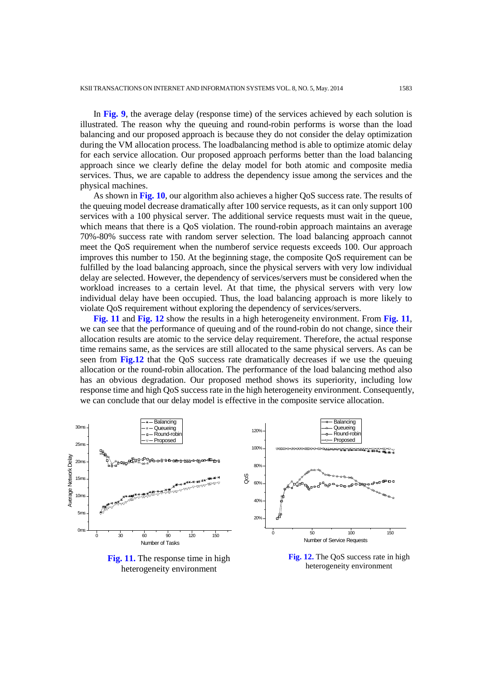In **Fig. 9**, the average delay (response time) of the services achieved by each solution is illustrated. The reason why the queuing and round-robin performs is worse than the load balancing and our proposed approach is because they do not consider the delay optimization during the VM allocation process. The loadbalancing method is able to optimize atomic delay for each service allocation. Our proposed approach performs better than the load balancing approach since we clearly define the delay model for both atomic and composite media services. Thus, we are capable to address the dependency issue among the services and the physical machines.

 As shown in **Fig. 10**, our algorithm also achieves a higher QoS success rate. The results of the queuing model decrease dramatically after 100 service requests, as it can only support 100 services with a 100 physical server. The additional service requests must wait in the queue, which means that there is a OoS violation. The round-robin approach maintains an average 70%-80% success rate with random server selection. The load balancing approach cannot meet the QoS requirement when the numberof service requests exceeds 100. Our approach improves this number to 150. At the beginning stage, the composite QoS requirement can be fulfilled by the load balancing approach, since the physical servers with very low individual delay are selected. However, the dependency of services/servers must be considered when the workload increases to a certain level. At that time, the physical servers with very low individual delay have been occupied. Thus, the load balancing approach is more likely to violate QoS requirement without exploring the dependency of services/servers.

 **Fig. 11** and **Fig. 12** show the results in a high heterogeneity environment. From **Fig. 11**, we can see that the performance of queuing and of the round-robin do not change, since their allocation results are atomic to the service delay requirement. Therefore, the actual response time remains same, as the services are still allocated to the same physical servers. As can be seen from **Fig.12** that the QoS success rate dramatically decreases if we use the queuing allocation or the round-robin allocation. The performance of the load balancing method also has an obvious degradation. Our proposed method shows its superiority, including low response time and high QoS success rate in the high heterogeneity environment. Consequently, we can conclude that our delay model is effective in the composite service allocation.



**Fig. 11.** The response time in high heterogeneity environment

**Fig. 12.** The QoS success rate in high heterogeneity environment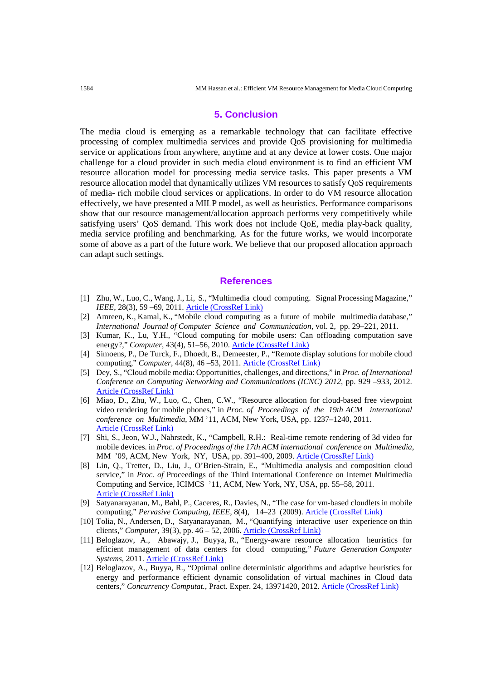#### **5. Conclusion**

The media cloud is emerging as a remarkable technology that can facilitate effective processing of complex multimedia services and provide QoS provisioning for multimedia service or applications from anywhere, anytime and at any device at lower costs. One major challenge for a cloud provider in such media cloud environment is to find an efficient VM resource allocation model for processing media service tasks. This paper presents a VM resource allocation model that dynamically utilizes VM resources to satisfy QoS requirements of media- rich mobile cloud services or applications. In order to do VM resource allocation effectively, we have presented a MILP model, as well as heuristics. Performance comparisons show that our resource management/allocation approach performs very competitively while satisfying users' QoS demand. This work does not include QoE, media play-back quality, media service profiling and benchmarking. As for the future works, we would incorporate some of above as a part of the future work. We believe that our proposed allocation approach can adapt such settings.

#### **References**

- [1] Zhu, W., Luo, C., Wang, J., Li, S., "Multimedia cloud computing. Signal Processing Magazine," *IEEE*, 28(3), 59 – 69, 2011. [Article \(CrossRef Link\)](http://dx.doi.org/10.1109/MSP.2011.940269)
- [2] Amreen, K., Kamal, K., "Mobile cloud computing as a future of mobile multimedia database," *International Journal of Computer Science and Communication*, vol. 2, pp. 29–221, 2011.
- [3] Kumar, K., Lu, Y.H., "Cloud computing for mobile users: Can offloading computation save energy?," *Computer*, 43(4), 51–56, 2010. [Article \(CrossRef Link\)](http://dx.doi.org/10.1109/MC.2010.98)
- [4] Simoens, P., De Turck, F., Dhoedt, B., Demeester, P., "Remote display solutions for mobile cloud computing," *Computer*, 44(8), 46 –53, 2011. [Article \(CrossRef Link\)](http://dx.doi.org/10.1109/MC.2011.70)
- [5] Dey, S., "Cloud mobile media: Opportunities, challenges, and directions," in *Proc. of International Conference on Computing Networking and Communications (ICNC) 2012*, pp. 929 –933, 2012. [Article \(CrossRef Link\)](http://dx.doi.org/10.1109/ICCNC.2012.6167561)
- [6] Miao, D., Zhu, W., Luo, C., Chen, C.W., "Resource allocation for cloud-based free viewpoint video rendering for mobile phones," in *Proc. of Proceedings of the 19th ACM international conference on Multimedia*, MM '11, ACM, New York, USA, pp. 1237–1240, 2011. [Article \(CrossRef Link\)](http://dx.doi.org/10.1145/2072298.2071983)
- [7] Shi, S., Jeon, W.J., Nahrstedt, K., "Campbell, R.H.: Real-time remote rendering of 3d video for mobile devices. in *Proc. of Proceedings of the 17th ACM international conference on Multimedia*, MM '09, ACM, New York, NY, USA, pp. 391–400, 2009. [Article \(CrossRef Link\)](http://doi.acm.org/10.1145/1631272.1631326)
- [8] Lin, Q., Tretter, D., Liu, J., O'Brien-Strain, E., "Multimedia analysis and composition cloud service," in *Proc. of* Proceedings of the Third International Conference on Internet Multimedia Computing and Service, ICIMCS '11, ACM, New York, NY, USA, pp. 55–58, 2011. [Article \(CrossRef Link\)](http://dx.doi.org/10.1145/2043674.2043691)
- [9] Satyanarayanan, M., Bahl, P., Caceres, R., Davies, N., "The case for vm-based cloudlets in mobile computing," *Pervasive Computing, IEEE,* 8(4), 14–23 (2009). [Article \(CrossRef Link\)](http://dx.doi.org/10.1109/MPRV.2009.82)
- [10] Tolia, N., Andersen, D., Satyanarayanan, M., "Quantifying interactive user experience on thin clients," *Computer,* 39(3), pp. 46 – 52, 2006[. Article \(CrossRef Link\)](http://dx.doi.org/10.1109/MC.2006.101)
- [11] Beloglazov, A., Abawajy, J., Buyya, R., "Energy-aware resource allocation heuristics for efficient management of data centers for cloud computing," *Future Generation Computer Systems*, 2011. [Article \(CrossRef Link\)](http://dx.doi.org/10.1016/j.future.2011.04.017)
- [12] Beloglazov, A., Buyya, R., "Optimal online deterministic algorithms and adaptive heuristics for energy and performance efficient dynamic consolidation of virtual machines in Cloud data centers," Concurrency Computat., Pract. Exper. 24, 13971420, 2012. [Article \(CrossRef Link\)](http://dx.doi.org/10.1002/cpe.1867)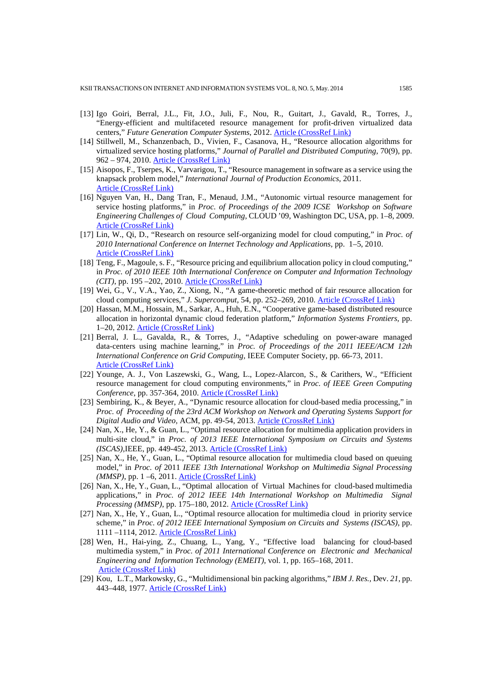- [13] Igo Goiri, Berral, J.L., Fit, J.O., Juli, F., Nou, R., Guitart, J., Gavald, R., Torres, J., "Energy-efficient and multifaceted resource management for profit-driven virtualized data centers," Future Generation Computer Systems, 2012. **Article (CrossRef Link)**
- [14] Stillwell, M., Schanzenbach, D., Vivien, F., Casanova, H., "Resource allocation algorithms for virtualized service hosting platforms," *Journal of Parallel and Distributed Computing*, 70(9), pp. 962 – 974, 2010. **Article (CrossRef Link)**
- [15] Aisopos, F., Tserpes, K., Varvarigou, T., "Resource management in software as a service using the knapsack problem model," *International Journal of Production Economics*, 2011. [Article \(CrossRef Link\)](http://dx.doi.org/10.1016/j.ijpe.2011.12.011)
- [16] Nguyen Van, H., Dang Tran, F., Menaud, J.M., "Autonomic virtual resource management for service hosting platforms," in *Proc. of Proceedings of the 2009 ICSE Workshop on Software Engineering Challenges of Cloud Computing*, CLOUD '09, Washington DC, USA, pp. 1–8, 2009. [Article \(CrossRef Link\)](http://dx.doi.org/10.1109/CLOUD.2009.5071526)
- [17] Lin, W., Qi, D., "Research on resource self-organizing model for cloud computing," in *Proc. of 2010 International Conference on Internet Technology and Applications*, pp. 1–5, 2010. [Article \(CrossRef Link\)](http://dx.doi.org/10.1109/ITAPP.2010.5566394)
- [18] Teng, F., Magoule, s. F., "Resource pricing and equilibrium allocation policy in cloud computing," in *Proc. of 2010 IEEE 10th International Conference on Computer and Information Technology (CIT)*, pp. 195 –202, 2010. [Article \(CrossRef Link\)](http://dx.doi.org/10.1109/CIT.2010.70)
- [19] Wei, G., V., V.A., Yao, Z., Xiong, N., "A game-theoretic method of fair resource allocation for cloud computing services," *J. Supercomput*, 54, pp. 252–269, 2010. [Article \(CrossRef Link\)](http://dx.doi.org/10.1007/s11227-009-0318-1)
- [20] Hassan, M.M., Hossain, M., Sarkar, A., Huh, E.N., "Cooperative game-based distributed resource allocation in horizontal dynamic cloud federation platform," *Information Systems Frontiers,* pp. 1–20, 2012[. Article \(CrossRef Link\)](http://dx.doi.org/10.1007/s10796-012-9357-x)
- [21] Berral, J. L., Gavalda, R., & Torres, J., "Adaptive scheduling on power-aware managed data-centers using machine learning," in *Proc. of Proceedings of the 2011 IEEE/ACM 12th International Conference on Grid Computing,* IEEE Computer Society, pp. 66-73, 2011. [Article \(CrossRef Link\)](http://dx.doi.org/10.1109/Grid.2011.18)
- [22] Younge, A. J., Von Laszewski, G., Wang, L., Lopez-Alarcon, S., & Carithers, W., "Efficient resource management for cloud computing environments," in *Proc. of IEEE Green Computing Conference*, pp. 357-364, 2010. [Article \(CrossRef Link\)](http://dx.doi.org/10.1109/GREENCOMP.2010.5598294)
- [23] Sembiring, K., & Beyer, A., "Dynamic resource allocation for cloud-based media processing," in *Proc. of Proceeding of the 23rd ACM Workshop on Network and Operating Systems Support for Digital Audio and Video,* ACM, pp. 49-54, 2013[. Article \(CrossRef Link\)](http://dx.doi.org/10.1145/2460782.2460791)
- [24] Nan, X., He, Y., & Guan, L., "Optimal resource allocation for multimedia application providers in multi-site cloud," in *Proc. of 2013 IEEE International Symposium on Circuits and Systems (ISCAS),*IEEE, pp. 449-452, 2013[. Article \(CrossRef Link\)](http://dx.doi.org/10.1109/ISCAS.2013.6571877)
- [25] Nan, X., He, Y., Guan, L., "Optimal resource allocation for multimedia cloud based on queuing model," in *Proc. of* 2011 *IEEE 13th International Workshop on Multimedia Signal Processing (MMSP)*, pp. 1 –6, 2011. [Article \(CrossRef Link\)](http://dx.doi.org/10.1109/MMSP.2011.6093813)
- [26] Nan, X., He, Y., Guan, L., "Optimal allocation of Virtual Machines for cloud-based multimedia applications," in *Proc. of 2012 IEEE 14th International Workshop on Multimedia Signal Processing (MMSP)*, pp. 175–180, 2012. [Article \(CrossRef Link\)](http://dx.doi.org/10.1109/MMSP.2012.6343436)
- [27] Nan, X., He, Y., Guan, L., "Optimal resource allocation for multimedia cloud in priority service scheme," in *Proc. of 2012 IEEE International Symposium on Circuits and Systems (ISCAS)*, pp. 1111 –1114, 2012. [Article \(CrossRef Link\)](http://dx.doi.org/10.1109/ISCAS.2012.6271425)
- [28] Wen, H., Hai-ying, Z., Chuang, L., Yang, Y., "Effective load balancing for cloud-based multimedia system," in *Proc. of 2011 International Conference on Electronic and Mechanical Engineering and Information Technology (EMEIT)*, vol. 1, pp. 165–168, 2011. [Article \(CrossRef Link\)](http://dx.doi.org/10.1109/EMEIT.2011.6022888)
- [29] Kou, L.T., Markowsky, G., "Multidimensional bin packing algorithms," *IBM J. Res.,* Dev. *21*, pp. 443–448, 1977[. Article \(CrossRef Link\)](http://dx.doi.org/10.1147/rd.215.0443)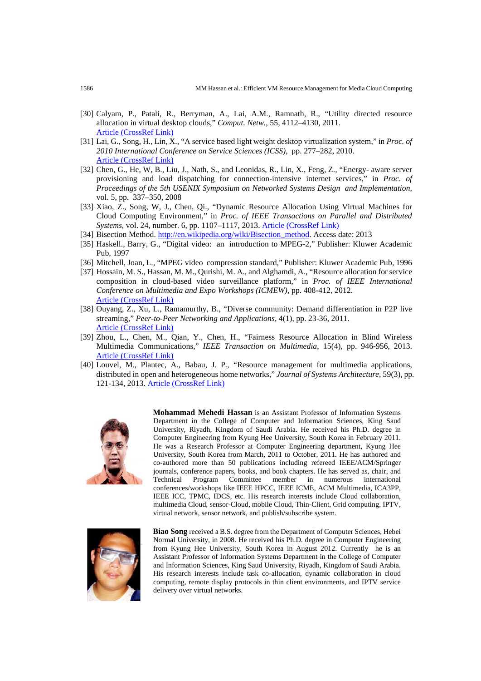- [30] Calyam, P., Patali, R., Berryman, A., Lai, A.M., Ramnath, R., "Utility directed resource allocation in virtual desktop clouds," *Comput. Netw.,* 55, 4112–4130, 2011. [Article \(CrossRef Link\)](http://dx.doi.org/10.1016/j.comnet.2011.07.019)
- [31] Lai, G., Song, H., Lin, X., "A service based light weight desktop virtualization system," in *Proc. of 2010 International Conference on Service Sciences (ICSS)*, pp. 277–282, 2010. [Article \(CrossRef Link\)](http://dx.doi.org/10.1109/ICSS.2010.44)
- [32] Chen, G., He, W, B., Liu, J., Nath, S., and Leonidas, R., Lin, X., Feng, Z., "Energy- aware server provisioning and load dispatching for connection-intensive internet services," in *Proc. of Proceedings of the 5th USENIX Symposium on Networked Systems Design and Implementation*, vol. 5, pp. 337–350, 2008
- [33] Xiao, Z., Song, W, J., Chen, Qi., "Dynamic Resource Allocation Using Virtual Machines for Cloud Computing Environment," in *Proc. of IEEE Transactions on Parallel and Distributed Systems*, vol. 24, number. 6, pp. 1107–1117, 2013[. Article \(CrossRef Link\)](http://dx.doi.org/10.1109/TPDS.2012.283)
- [34] Bisection Method[. http://en.wikipedia.org/wiki/Bisection\\_method.](http://en.wikipedia.org/wiki/Bisection_method) Access date: 2013
- [35] Haskell., Barry, G., "Digital video: an introduction to MPEG-2," Publisher: Kluwer Academic Pub, 1997
- [36] Mitchell, Joan, L., "MPEG video compression standard," Publisher: Kluwer Academic Pub, 1996
- [37] Hossain, M. S., Hassan, M. M., Qurishi, M. A., and Alghamdi, A., "Resource allocation for service composition in cloud-based video surveillance platform," in *Proc. of IEEE International Conference on Multimedia and Expo Workshops (ICMEW)*, pp. 408-412, 2012. [Article \(CrossRef Link\)](http://dx.doi.org/10.1109/ICMEW.2012.77)
- [38] Ouyang, Z., Xu, L., Ramamurthy, B., "Diverse community: Demand differentiation in P2P live streaming," *Peer-to-Peer Networking and Applications*, 4(1), pp. 23-36, 2011. [Article \(CrossRef Link\)](http://dx.doi.org/10.1007/s12083-010-0088-9)
- [39] Zhou, L., Chen, M., Qian, Y., Chen, H., "Fairness Resource Allocation in Blind Wireless Multimedia Communications," *IEEE Transaction on Multimedia*, 15(4), pp. 946-956, 2013. [Article \(CrossRef Link\)](http://dx.doi.org/10.1109/TMM.2013.2237895)
- [40] Louvel, M., Plantec, A., Babau, J. P., "Resource management for multimedia applications, distributed in open and heterogeneous home networks," *Journal of Systems Architecture*, 59(3), pp. 121-134, 2013[. Article \(CrossRef Link\)](http://dx.doi.org/10.1016/j.sysarc.2013.01.003)



**Mohammad Mehedi Hassan** is an Assistant Professor of Information Systems Department in the College of Computer and Information Sciences, King Saud University, Riyadh, Kingdom of Saudi Arabia. He received his Ph.D. degree in Computer Engineering from Kyung Hee University, South Korea in February 2011. He was a Research Professor at Computer Engineering department, Kyung Hee University, South Korea from March, 2011 to October, 2011. He has authored and co-authored more than 50 publications including refereed IEEE/ACM/Springer journals, conference papers, books, and book chapters. He has served as, chair, and Technical Program Committee member in numerous international conferences/workshops like IEEE HPCC, IEEE ICME, ACM Multimedia, ICA3PP, IEEE ICC, TPMC, IDCS, etc. His research interests include Cloud collaboration, multimedia Cloud, sensor-Cloud, mobile Cloud, Thin-Client, Grid computing, IPTV, virtual network, sensor network, and publish/subscribe system.



**Biao Song** received a B.S. degree from the Department of Computer Sciences, Hebei Normal University, in 2008. He received his Ph.D. degree in Computer Engineering from Kyung Hee University, South Korea in August 2012. Currently he is an Assistant Professor of Information Systems Department in the College of Computer and Information Sciences, King Saud University, Riyadh, Kingdom of Saudi Arabia. His research interests include task co-allocation, dynamic collaboration in cloud computing, remote display protocols in thin client environments, and IPTV service delivery over virtual networks.